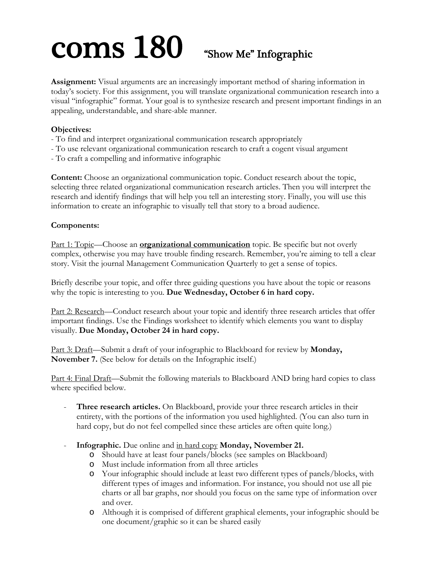# COMS 180 "Show Me" Infographic

**Assignment:** Visual arguments are an increasingly important method of sharing information in today's society. For this assignment, you will translate organizational communication research into a visual "infographic" format. Your goal is to synthesize research and present important findings in an appealing, understandable, and share-able manner.

#### **Objectives:**

- To find and interpret organizational communication research appropriately
- To use relevant organizational communication research to craft a cogent visual argument
- To craft a compelling and informative infographic

**Content:** Choose an organizational communication topic. Conduct research about the topic, selecting three related organizational communication research articles. Then you will interpret the research and identify findings that will help you tell an interesting story. Finally, you will use this information to create an infographic to visually tell that story to a broad audience.

#### **Components:**

Part 1: Topic—Choose an **organizational communication** topic. Be specific but not overly complex, otherwise you may have trouble finding research. Remember, you're aiming to tell a clear story. Visit the journal Management Communication Quarterly to get a sense of topics.

Briefly describe your topic, and offer three guiding questions you have about the topic or reasons why the topic is interesting to you. **Due Wednesday, October 6 in hard copy.**

Part 2: Research—Conduct research about your topic and identify three research articles that offer important findings. Use the Findings worksheet to identify which elements you want to display visually. **Due Monday, October 24 in hard copy.** 

Part 3: Draft—Submit a draft of your infographic to Blackboard for review by **Monday, November 7.** (See below for details on the Infographic itself.)

Part 4: Final Draft—Submit the following materials to Blackboard AND bring hard copies to class where specified below.

- Three research articles. On Blackboard, provide your three research articles in their entirety, with the portions of the information you used highlighted. (You can also turn in hard copy, but do not feel compelled since these articles are often quite long.)
- **Infographic.** Due online and in hard copy **Monday, November 21.**
	- o Should have at least four panels/blocks (see samples on Blackboard)
	- o Must include information from all three articles
	- o Your infographic should include at least two different types of panels/blocks, with different types of images and information. For instance, you should not use all pie charts or all bar graphs, nor should you focus on the same type of information over and over.
	- o Although it is comprised of different graphical elements, your infographic should be one document/graphic so it can be shared easily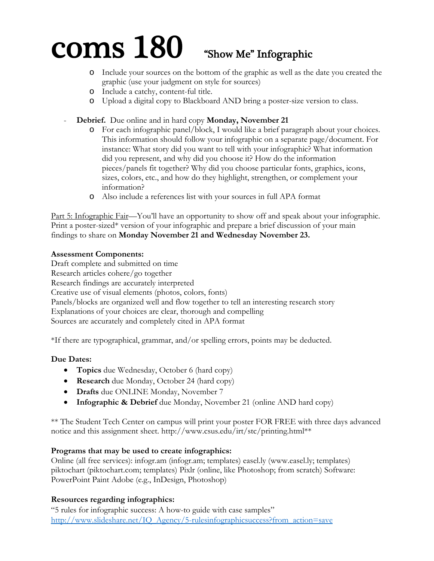## $\mathbf{coms}$  180  $\mathbf{S}$  "Show Me" Infographic

- o Include your sources on the bottom of the graphic as well as the date you created the graphic (use your judgment on style for sources)
- o Include a catchy, content-ful title.
- o Upload a digital copy to Blackboard AND bring a poster-size version to class.
- **Debrief.** Due online and in hard copy **Monday, November 21**
	- o For each infographic panel/block, I would like a brief paragraph about your choices. This information should follow your infographic on a separate page/document. For instance: What story did you want to tell with your infographic? What information did you represent, and why did you choose it? How do the information pieces/panels fit together? Why did you choose particular fonts, graphics, icons, sizes, colors, etc., and how do they highlight, strengthen, or complement your information?
	- o Also include a references list with your sources in full APA format

Part 5: Infographic Fair—You'll have an opportunity to show off and speak about your infographic. Print a poster-sized\* version of your infographic and prepare a brief discussion of your main findings to share on **Monday November 21 and Wednesday November 23.**

#### **Assessment Components:**

Draft complete and submitted on time Research articles cohere/go together Research findings are accurately interpreted Creative use of visual elements (photos, colors, fonts) Panels/blocks are organized well and flow together to tell an interesting research story Explanations of your choices are clear, thorough and compelling Sources are accurately and completely cited in APA format

\*If there are typographical, grammar, and/or spelling errors, points may be deducted.

### **Due Dates:**

- **Topics** due Wednesday, October 6 (hard copy)
- **Research** due Monday, October 24 (hard copy)
- **Drafts** due ONLINE Monday, November 7
- **Infographic & Debrief** due Monday, November 21 (online AND hard copy)

\*\* The Student Tech Center on campus will print your poster FOR FREE with three days advanced notice and this assignment sheet. http://www.csus.edu/irt/stc/printing.html\*\*

#### **Programs that may be used to create infographics:**

Online (all free services): infogr.am (infogr.am; templates) easel.ly (www.easel.ly; templates) piktochart (piktochart.com; templates) Pixlr (online, like Photoshop; from scratch) Software: PowerPoint Paint Adobe (e.g., InDesign, Photoshop)

### **Resources regarding infographics:**

"5 rules for infographic success: A how-to guide with case samples" http://www.slideshare.net/IQ\_Agency/5-rulesinfographicsuccess?from\_action=save